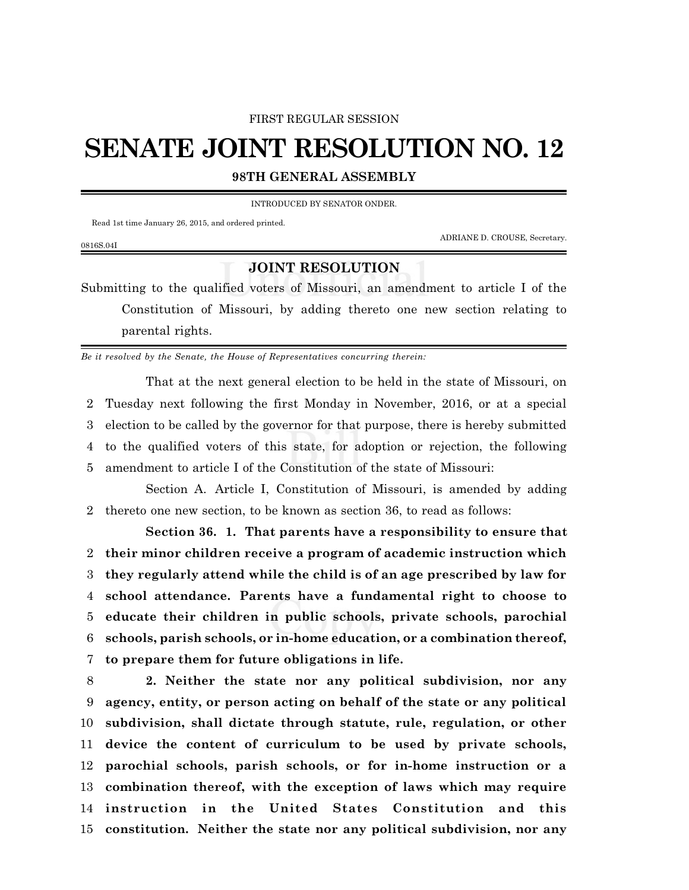## FIRST REGULAR SESSION

## **SENATE JOINT RESOLUTION NO. 12**

**98TH GENERAL ASSEMBLY**

INTRODUCED BY SENATOR ONDER.

Read 1st time January 26, 2015, and ordered printed.

ADRIANE D. CROUSE, Secretary.

## 0816S.04I

## **JOINT RESOLUTION**

Submitting to the qualified voters of Missouri, an amendment to article I of the Constitution of Missouri, by adding thereto one new section relating to parental rights.

*Be it resolved by the Senate, the House of Representatives concurring therein:*

That at the next general election to be held in the state of Missouri, on Tuesday next following the first Monday in November, 2016, or at a special election to be called by the governor for that purpose, there is hereby submitted to the qualified voters of this state, for adoption or rejection, the following amendment to article I of the Constitution of the state of Missouri:

Section A. Article I, Constitution of Missouri, is amended by adding 2 thereto one new section, to be known as section 36, to read as follows:

**Section 36. 1. That parents have a responsibility to ensure that their minor children receive a program of academic instruction which they regularly attend while the child is of an age prescribed by law for school attendance. Parents have a fundamental right to choose to educate their children in public schools, private schools, parochial schools, parish schools, or in-home education, or a combination thereof, to prepare them for future obligations in life.**

 **2. Neither the state nor any political subdivision, nor any agency, entity, or person acting on behalf of the state or any political subdivision, shall dictate through statute, rule, regulation, or other device the content of curriculum to be used by private schools, parochial schools, parish schools, or for in-home instruction or a combination thereof, with the exception of laws which may require instruction in the United States Constitution and this constitution. Neither the state nor any political subdivision, nor any**